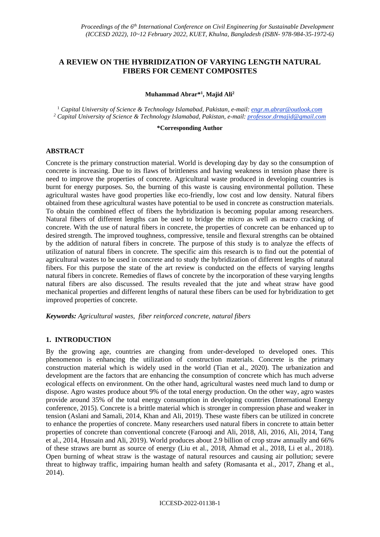# **A REVIEW ON THE HYBRIDIZATION OF VARYING LENGTH NATURAL FIBERS FOR CEMENT COMPOSITES**

**Muhammad Abrar\* 1 , Majid Ali<sup>2</sup>**

<sup>1</sup> *Capital University of Science & Technology Islamabad, Pakistan, e-mail: engr.m.abrar@outlook.com <sup>2</sup> Capital University of Science & Technology Islamabad, Pakistan, e-mail: professor.drmajid@gmail.com*

**\*Corresponding Author**

#### **ABSTRACT**

Concrete is the primary construction material. World is developing day by day so the consumption of concrete is increasing. Due to its flaws of brittleness and having weakness in tension phase there is need to improve the properties of concrete. Agricultural waste produced in developing countries is burnt for energy purposes. So, the burning of this waste is causing environmental pollution. These agricultural wastes have good properties like eco-friendly, low cost and low density. Natural fibers obtained from these agricultural wastes have potential to be used in concrete as construction materials. To obtain the combined effect of fibers the hybridization is becoming popular among researchers. Natural fibers of different lengths can be used to bridge the micro as well as macro cracking of concrete. With the use of natural fibers in concrete, the properties of concrete can be enhanced up to desired strength. The improved toughness, compressive, tensile and flexural strengths can be obtained by the addition of natural fibers in concrete. The purpose of this study is to analyze the effects of utilization of natural fibers in concrete. The specific aim this research is to find out the potential of agricultural wastes to be used in concrete and to study the hybridization of different lengths of natural fibers. For this purpose the state of the art review is conducted on the effects of varying lengths natural fibers in concrete. Remedies of flaws of concrete by the incorporation of these varying lengths natural fibers are also discussed. The results revealed that the jute and wheat straw have good mechanical properties and different lengths of natural these fibers can be used for hybridization to get improved properties of concrete.

*Keywords: Agricultural wastes, fiber reinforced concrete, natural fibers*

#### **1. INTRODUCTION**

By the growing age, countries are changing from under-developed to developed ones. This phenomenon is enhancing the utilization of construction materials. Concrete is the primary construction material which is widely used in the world (Tian et al., 2020). The urbanization and development are the factors that are enhancing the consumption of concrete which has much adverse ecological effects on environment. On the other hand, agricultural wastes need much land to dump or dispose. Agro wastes produce about 9% of the total energy production. On the other way, agro wastes provide around 35% of the total energy consumption in developing countries (International Energy conference, 2015). Concrete is a brittle material which is stronger in compression phase and weaker in tension (Aslani and Samali, 2014, Khan and Ali, 2019). These waste fibers can be utilized in concrete to enhance the properties of concrete. Many researchers used natural fibers in concrete to attain better properties of concrete than conventional concrete (Farooqi and Ali, 2018, Ali, 2016, Ali, 2014, Tang et al., 2014, Hussain and Ali, 2019). World produces about 2.9 billion of crop straw annually and 66% of these straws are burnt as source of energy (Liu et al., 2018, Ahmad et al., 2018, Li et al., 2018). Open burning of wheat straw is the wastage of natural resources and causing air pollution; severe threat to highway traffic, impairing human health and safety (Romasanta et al., 2017, Zhang et al., 2014).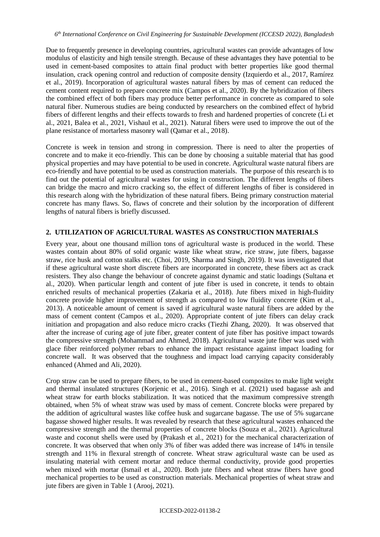Due to frequently presence in developing countries, agricultural wastes can provide advantages of low modulus of elasticity and high tensile strength. Because of these advantages they have potential to be used in cement-based composites to attain final product with better properties like good thermal insulation, crack opening control and reduction of composite density (Izquierdo et al., 2017, Ramírez et al., 2019). Incorporation of agricultural wastes natural fibers by mas of cement can reduced the cement content required to prepare concrete mix (Campos et al., 2020). By the hybridization of fibers the combined effect of both fibers may produce better performance in concrete as compared to sole natural fiber. Numerous studies are being conducted by researchers on the combined effect of hybrid fibers of different lengths and their effects towards to fresh and hardened properties of concrete (Li et al., 2021, Balea et al., 2021, Vishaul et al., 2021). Natural fibers were used to improve the out of the plane resistance of mortarless masonry wall (Qamar et al., 2018).

Concrete is week in tension and strong in compression. There is need to alter the properties of concrete and to make it eco-friendly. This can be done by choosing a suitable material that has good physical properties and may have potential to be used in concrete. Agricultural waste natural fibers are eco-friendly and have potential to be used as construction materials. The purpose of this research is to find out the potential of agricultural wastes for using in construction. The different lengths of fibers can bridge the macro and micro cracking so, the effect of different lengths of fiber is considered in this research along with the hybridization of these natural fibers. Being primary construction material concrete has many flaws. So, flaws of concrete and their solution by the incorporation of different lengths of natural fibers is briefly discussed.

## **2. UTILIZATION OF AGRICULTURAL WASTES AS CONSTRUCTION MATERIALS**

Every year, about one thousand million tons of agricultural waste is produced in the world. These wastes contain about 80% of solid organic waste like wheat straw, rice straw, jute fibers, bagasse straw, rice husk and cotton stalks etc. (Choi, 2019, Sharma and Singh, 2019). It was investigated that if these agricultural waste short discrete fibers are incorporated in concrete, these fibers act as crack resisters. They also change the behaviour of concrete against dynamic and static loadings (Sultana et al., 2020). When particular length and content of jute fiber is used in concrete, it tends to obtain enriched results of mechanical properties (Zakaria et al., 2018). Jute fibers mixed in high-fluidity concrete provide higher improvement of strength as compared to low fluidity concrete (Kim et al., 2013). A noticeable amount of cement is saved if agricultural waste natural fibers are added by the mass of cement content (Campos et al., 2020). Appropriate content of jute fibers can delay crack initiation and propagation and also reduce micro cracks (Tiezhi Zhang, 2020). It was observed that after the increase of curing age of jute fiber, greater content of jute fiber has positive impact towards the compressive strength (Mohammad and Ahmed, 2018). Agricultural waste jute fiber was used with glace fiber reinforced polymer rebars to enhance the impact resistance against impact loading for concrete wall. It was observed that the toughness and impact load carrying capacity considerably enhanced (Ahmed and Ali, 2020).

Crop straw can be used to prepare fibers, to be used in cement-based composites to make light weight and thermal insulated structures (Korjenic et al., 2016). Singh et al. (2021) used bagasse ash and wheat straw for earth blocks stabilization. It was noticed that the maximum compressive strength obtained, when 5% of wheat straw was used by mass of cement. Concrete blocks were prepared by the addition of agricultural wastes like coffee husk and sugarcane bagasse. The use of 5% sugarcane bagasse showed higher results. It was revealed by research that these agricultural wastes enhanced the compressive strength and the thermal properties of concrete blocks (Souza et al., 2021). Agricultural waste and coconut shells were used by (Prakash et al., 2021) for the mechanical characterization of concrete. It was observed that when only 3% of fiber was added there was increase of 14% in tensile strength and 11% in flexural strength of concrete. Wheat straw agricultural waste can be used as insulating material with cement mortar and reduce thermal conductivity, provide good properties when mixed with mortar (Ismail et al., 2020). Both jute fibers and wheat straw fibers have good mechanical properties to be used as construction materials. Mechanical properties of wheat straw and jute fibers are given in Table 1 (Arooj, 2021).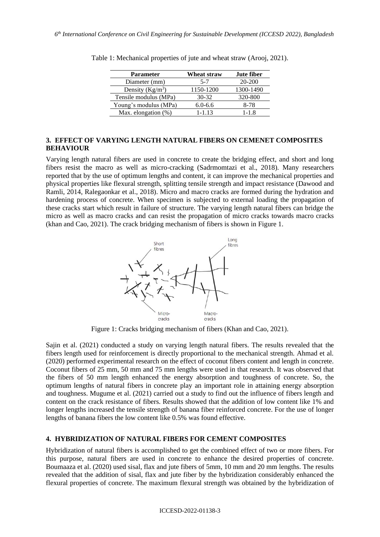| <b>Parameter</b>      | Wheat straw | <b>Jute fiber</b> |
|-----------------------|-------------|-------------------|
| Diameter (mm)         | $5 - 7$     | 20-200            |
| Density $(Kg/m^3)$    | 1150-1200   | 1300-1490         |
| Tensile modulus (MPa) | $30 - 32$   | 320-800           |
| Young's modulus (MPa) | $6.0 - 6.6$ | 8-78              |
| Max. elongation (%)   | $1 - 1.13$  | $1 - 1.8$         |

Table 1: Mechanical properties of jute and wheat straw (Arooj, 2021).

#### **3. EFFECT OF VARYING LENGTH NATURAL FIBERS ON CEMENET COMPOSITES BEHAVIOUR**

Varying length natural fibers are used in concrete to create the bridging effect, and short and long fibers resist the macro as well as micro-cracking (Sadrmomtazi et al., 2018). Many researchers reported that by the use of optimum lengths and content, it can improve the mechanical properties and physical properties like flexural strength, splitting tensile strength and impact resistance (Dawood and Ramli, 2014, Ralegaonkar et al., 2018). Micro and macro cracks are formed during the hydration and hardening process of concrete. When specimen is subjected to external loading the propagation of these cracks start which result in failure of structure. The varying length natural fibers can bridge the micro as well as macro cracks and can resist the propagation of micro cracks towards macro cracks (khan and Cao, 2021). The crack bridging mechanism of fibers is shown in Figure 1.



Figure 1: Cracks bridging mechanism of fibers (Khan and Cao, 2021).

Sajin et al. (2021) conducted a study on varying length natural fibers. The results revealed that the fibers length used for reinforcement is directly proportional to the mechanical strength. Ahmad et al. (2020) performed experimental research on the effect of coconut fibers content and length in concrete. Coconut fibers of 25 mm, 50 mm and 75 mm lengths were used in that research. It was observed that the fibers of 50 mm length enhanced the energy absorption and toughness of concrete. So, the optimum lengths of natural fibers in concrete play an important role in attaining energy absorption and toughness. Mugume et al. (2021) carried out a study to find out the influence of fibers length and content on the crack resistance of fibers. Results showed that the addition of low content like 1% and longer lengths increased the tensile strength of banana fiber reinforced concrete. For the use of longer lengths of banana fibers the low content like 0.5% was found effective.

#### **4. HYBRIDIZATION OF NATURAL FIBERS FOR CEMENT COMPOSITES**

Hybridization of natural fibers is accomplished to get the combined effect of two or more fibers. For this purpose, natural fibers are used in concrete to enhance the desired properties of concrete. Boumaaza et al. (2020) used sisal, flax and jute fibers of 5mm, 10 mm and 20 mm lengths. The results revealed that the addition of sisal, flax and jute fiber by the hybridization considerably enhanced the flexural properties of concrete. The maximum flexural strength was obtained by the hybridization of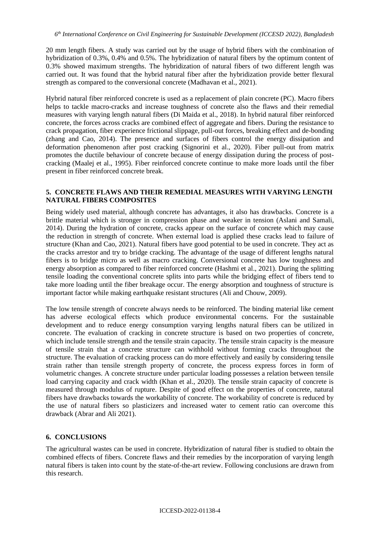20 mm length fibers. A study was carried out by the usage of hybrid fibers with the combination of hybridization of 0.3%, 0.4% and 0.5%. The hybridization of natural fibers by the optimum content of 0.3% showed maximum strengths. The hybridization of natural fibers of two different length was carried out. It was found that the hybrid natural fiber after the hybridization provide better flexural strength as compared to the conversional concrete (Madhavan et al., 2021).

Hybrid natural fiber reinforced concrete is used as a replacement of plain concrete (PC). Macro fibers helps to tackle macro-cracks and increase toughness of concrete also the flaws and their remedial measures with varying length natural fibers (Di Maida et al., 2018). In hybrid natural fiber reinforced concrete, the forces across cracks are combined effect of aggregate and fibers. During the resistance to crack propagation, fiber experience frictional slippage, pull-out forces, breaking effect and de-bonding (zhang and Cao, 2014). The presence and surfaces of fibers control the energy dissipation and deformation phenomenon after post cracking (Signorini et al., 2020). Fiber pull-out from matrix promotes the ductile behaviour of concrete because of energy dissipation during the process of postcracking (Maalej et al., 1995). Fiber reinforced concrete continue to make more loads until the fiber present in fiber reinforced concrete break.

### **5. CONCRETE FLAWS AND THEIR REMEDIAL MEASURES WITH VARYING LENGTH NATURAL FIBERS COMPOSITES**

Being widely used material, although concrete has advantages, it also has drawbacks. Concrete is a brittle material which is stronger in compression phase and weaker in tension (Aslani and Samali, 2014). During the hydration of concrete, cracks appear on the surface of concrete which may cause the reduction in strength of concrete. When external load is applied these cracks lead to failure of structure (Khan and Cao, 2021). Natural fibers have good potential to be used in concrete. They act as the cracks arrestor and try to bridge cracking. The advantage of the usage of different lengths natural fibers is to bridge micro as well as macro cracking. Conversional concrete has low toughness and energy absorption as compared to fiber reinforced concrete (Hashmi et al., 2021). During the splitting tensile loading the conventional concrete splits into parts while the bridging effect of fibers tend to take more loading until the fiber breakage occur. The energy absorption and toughness of structure is important factor while making earthquake resistant structures (Ali and Chouw, 2009).

The low tensile strength of concrete always needs to be reinforced. The binding material like cement has adverse ecological effects which produce environmental concerns. For the sustainable development and to reduce energy consumption varying lengths natural fibers can be utilized in concrete. The evaluation of cracking in concrete structure is based on two properties of concrete, which include tensile strength and the tensile strain capacity. The tensile strain capacity is the measure of tensile strain that a concrete structure can withhold without forming cracks throughout the structure. The evaluation of cracking process can do more effectively and easily by considering tensile strain rather than tensile strength property of concrete, the process express forces in form of volumetric changes. A concrete structure under particular loading possesses a relation between tensile load carrying capacity and crack width (Khan et al., 2020). The tensile strain capacity of concrete is measured through modulus of rupture. Despite of good effect on the properties of concrete, natural fibers have drawbacks towards the workability of concrete. The workability of concrete is reduced by the use of natural fibers so plasticizers and increased water to cement ratio can overcome this drawback (Abrar and Ali 2021).

## **6. CONCLUSIONS**

The agricultural wastes can be used in concrete. Hybridization of natural fiber is studied to obtain the combined effects of fibers. Concrete flaws and their remedies by the incorporation of varying length natural fibers is taken into count by the state-of-the-art review. Following conclusions are drawn from this research.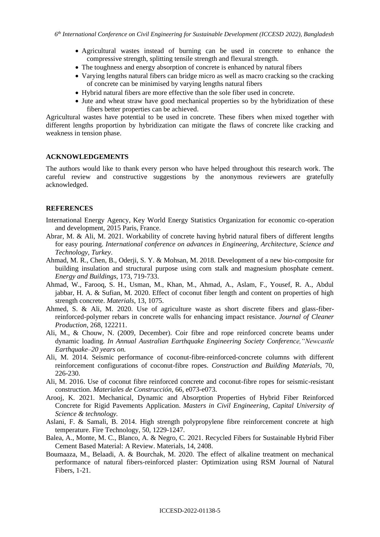- Agricultural wastes instead of burning can be used in concrete to enhance the compressive strength, splitting tensile strength and flexural strength.
- The toughness and energy absorption of concrete is enhanced by natural fibers
- Varying lengths natural fibers can bridge micro as well as macro cracking so the cracking of concrete can be minimised by varying lengths natural fibers
- Hybrid natural fibers are more effective than the sole fiber used in concrete.
- Jute and wheat straw have good mechanical properties so by the hybridization of these fibers better properties can be achieved.

Agricultural wastes have potential to be used in concrete. These fibers when mixed together with different lengths proportion by hybridization can mitigate the flaws of concrete like cracking and weakness in tension phase.

#### **ACKNOWLEDGEMENTS**

The authors would like to thank every person who have helped throughout this research work. The careful review and constructive suggestions by the anonymous reviewers are gratefully acknowledged.

#### **REFERENCES**

- International Energy Agency, Key World Energy Statistics Organization for economic co-operation and development, 2015 Paris, France.
- Abrar, M. & Ali, M. 2021. Workability of concrete having hybrid natural fibers of different lengths for easy pouring. *International conference on advances in Engineering, Architecture, Science and Technology, Turkey*.
- Ahmad, M. R., Chen, B., Oderji, S. Y. & Mohsan, M. 2018. Development of a new bio-composite for building insulation and structural purpose using corn stalk and magnesium phosphate cement. *Energy and Buildings*, 173, 719-733.
- Ahmad, W., Farooq, S. H., Usman, M., Khan, M., Ahmad, A., Aslam, F., Yousef, R. A., Abdul jabbar, H. A. & Sufian, M. 2020. Effect of coconut fiber length and content on properties of high strength concrete. *Materials*, 13, 1075.
- Ahmed, S. & Ali, M. 2020. Use of agriculture waste as short discrete fibers and glass-fiberreinforced-polymer rebars in concrete walls for enhancing impact resistance. *Journal of Cleaner Production*, 268, 122211.
- Ali, M., & Chouw, N. (2009, December). Coir fibre and rope reinforced concrete beams under dynamic loading*. In Annual Australian Earthquake Engineering Society Conference,"Newcastle Earthquake–20 years on.*
- Ali, M. 2014. Seismic performance of coconut-fibre-reinforced-concrete columns with different reinforcement configurations of coconut-fibre ropes. *Construction and Building Materials*, 70, 226-230.
- Ali, M. 2016. Use of coconut fibre reinforced concrete and coconut-fibre ropes for seismic-resistant construction. *Materiales de Construcción*, 66, e073-e073.
- Arooj, K. 2021. Mechanical, Dynamic and Absorption Properties of Hybrid Fiber Reinforced Concrete for Rigid Pavements Application. *Masters in Civil Engineering, Capital University of Science & technology.*
- Aslani, F. & Samali, B. 2014. High strength polypropylene fibre reinforcement concrete at high temperature. Fire Technology, 50, 1229-1247.
- Balea, A., Monte, M. C., Blanco, A. & Negro, C. 2021. Recycled Fibers for Sustainable Hybrid Fiber Cement Based Material: A Review. Materials, 14, 2408.
- Boumaaza, M., Belaadi, A. & Bourchak, M. 2020. The effect of alkaline treatment on mechanical performance of natural fibers-reinforced plaster: Optimization using RSM Journal of Natural Fibers, 1-21.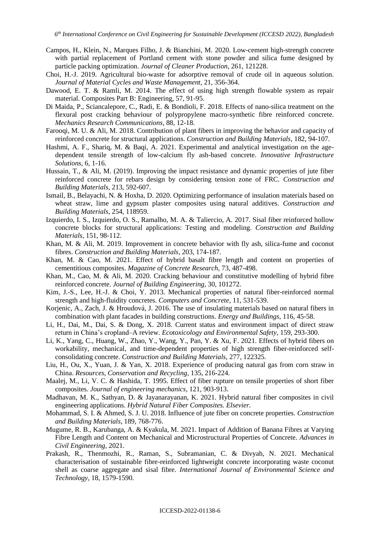- Campos, H., Klein, N., Marques Filho, J. & Bianchini, M. 2020. Low-cement high-strength concrete with partial replacement of Portland cement with stone powder and silica fume designed by particle packing optimization. *Journal of Cleaner Production*, 261, 121228.
- Choi, H.-J. 2019. Agricultural bio-waste for adsorptive removal of crude oil in aqueous solution. *Journal of Material Cycles and Waste Management*, 21, 356-364.
- Dawood, E. T. & Ramli, M. 2014. The effect of using high strength flowable system as repair material. Composites Part B: Engineering, 57, 91-95.
- Di Maida, P., Sciancalepore, C., Radi, E. & Bondioli, F. 2018. Effects of nano-silica treatment on the flexural post cracking behaviour of polypropylene macro-synthetic fibre reinforced concrete. *Mechanics Research Communications*, 88, 12-18.
- Farooqi, M. U. & Ali, M. 2018. Contribution of plant fibers in improving the behavior and capacity of reinforced concrete for structural applications. *Construction and Building Materials*, 182, 94-107.
- Hashmi, A. F., Shariq, M. & Baqi, A. 2021. Experimental and analytical investigation on the agedependent tensile strength of low-calcium fly ash-based concrete. *Innovative Infrastructure Solutions*, 6, 1-16.
- Hussain, T., & Ali, M. (2019). Improving the impact resistance and dynamic properties of jute fiber reinforced concrete for rebars design by considering tension zone of FRC. *Construction and Building Materials*, 213, 592-607.
- Ismail, B., Belayachi, N. & Hoxha, D. 2020. Optimizing performance of insulation materials based on wheat straw, lime and gypsum plaster composites using natural additives. *Construction and Building Materials*, 254, 118959.
- Izquierdo, I. S., Izquierdo, O. S., Ramalho, M. A. & Taliercio, A. 2017. Sisal fiber reinforced hollow concrete blocks for structural applications: Testing and modeling. *Construction and Building Materials*, 151, 98-112.
- Khan, M. & Ali, M. 2019. Improvement in concrete behavior with fly ash, silica-fume and coconut fibres. *Construction and Building Materials*, 203, 174-187.
- Khan, M. & Cao, M. 2021. Effect of hybrid basalt fibre length and content on properties of cementitious composites. *Magazine of Concrete Research*, 73, 487-498.
- Khan, M., Cao, M. & Ali, M. 2020. Cracking behaviour and constitutive modelling of hybrid fibre reinforced concrete. *Journal of Building Engineering*, 30, 101272.
- Kim, J.-S., Lee, H.-J. & Choi, Y. 2013. Mechanical properties of natural fiber-reinforced normal strength and high-fluidity concretes. *Computers and Concrete*, 11, 531-539.
- Korjenic, A., Zach, J. & Hroudová, J. 2016. The use of insulating materials based on natural fibers in combination with plant facades in building constructions. *Energy and Buildings*, 116, 45-58.
- Li, H., Dai, M., Dai, S. & Dong, X. 2018. Current status and environment impact of direct straw return in China's cropland–A review. *Ecotoxicology and Environmental Safety*, 159, 293-300.
- Li, K., Yang, C., Huang, W., Zhao, Y., Wang, Y., Pan, Y. & Xu, F. 2021. Effects of hybrid fibers on workability, mechanical, and time-dependent properties of high strength fiber-reinforced selfconsolidating concrete. *Construction and Building Materials*, 277, 122325.
- Liu, H., Ou, X., Yuan, J. & Yan, X. 2018. Experience of producing natural gas from corn straw in China. *Resources, Conservation and Recycling*, 135, 216-224.
- Maalej, M., Li, V. C. & Hashida, T. 1995. Effect of fiber rupture on tensile properties of short fiber composites. *Journal of engineering mechanics*, 121, 903-913.
- Madhavan, M. K., Sathyan, D. & Jayanarayanan, K. 2021. Hybrid natural fiber composites in civil engineering applications. *Hybrid Natural Fiber Composites. Elsevier.*
- Mohammad, S. I. & Ahmed, S. J. U. 2018. Influence of jute fiber on concrete properties. *Construction and Building Materials*, 189, 768-776.
- Mugume, R. B., Karubanga, A. & Kyakula, M. 2021. Impact of Addition of Banana Fibres at Varying Fibre Length and Content on Mechanical and Microstructural Properties of Concrete. *Advances in Civil Engineering*, 2021.
- Prakash, R., Thenmozhi, R., Raman, S., Subramanian, C. & Divyah, N. 2021. Mechanical characterisation of sustainable fibre-reinforced lightweight concrete incorporating waste coconut shell as coarse aggregate and sisal fibre. *International Journal of Environmental Science and Technology*, 18, 1579-1590.